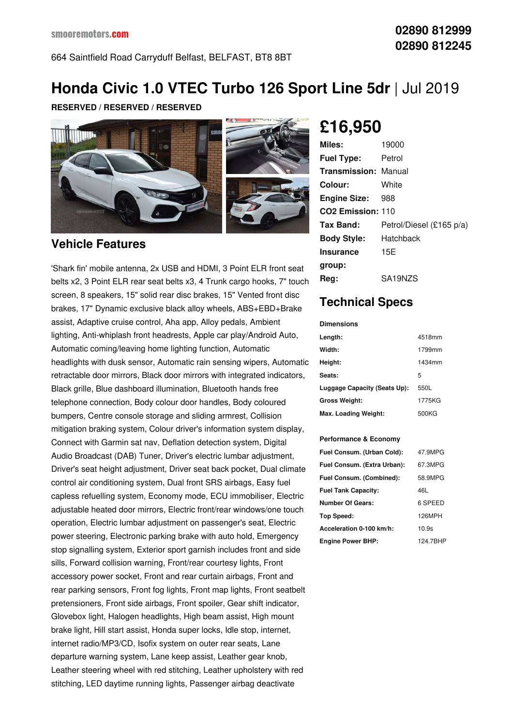## **Honda Civic 1.0 VTEC Turbo 126 Sport Line 5dr** |Jul 2019

**RESERVED / RESERVED / RESERVED**



#### **Vehicle Features**

'Shark fin' mobile antenna, 2x USB and HDMI, 3 Point ELR front seat belts x2, 3 Point ELR rear seat belts x3, 4 Trunk cargo hooks, 7" touch screen, 8 speakers, 15" solid rear disc brakes, 15" Vented front disc brakes, 17" Dynamic exclusive black alloy wheels, ABS+EBD+Brake assist, Adaptive cruise control, Aha app, Alloy pedals, Ambient lighting, Anti-whiplash front headrests, Apple car play/Android Auto, Automatic coming/leaving home lighting function, Automatic headlights with dusk sensor, Automatic rain sensing wipers, Automatic retractable door mirrors, Black door mirrors with integrated indicators, Black grille, Blue dashboard illumination, Bluetooth hands free telephone connection, Body colour door handles, Body coloured bumpers, Centre console storage and sliding armrest, Collision mitigation braking system, Colour driver's information system display, Connect with Garmin sat nav, Deflation detection system, Digital Audio Broadcast (DAB) Tuner, Driver's electric lumbar adjustment, Driver's seat height adjustment, Driver seat back pocket, Dual climate control air conditioning system, Dual front SRS airbags, Easy fuel capless refuelling system, Economy mode, ECU immobiliser, Electric adjustable heated door mirrors, Electric front/rear windows/one touch operation, Electric lumbar adjustment on passenger's seat, Electric power steering, Electronic parking brake with auto hold, Emergency stop signalling system, Exterior sport garnish includes front and side sills, Forward collision warning, Front/rear courtesy lights, Front accessory power socket, Front and rear curtain airbags, Front and rear parking sensors, Front fog lights, Front map lights, Front seatbelt pretensioners, Front side airbags, Front spoiler, Gear shift indicator, Glovebox light, Halogen headlights, High beam assist, High mount brake light, Hill start assist, Honda super locks, Idle stop, internet, internet radio/MP3/CD, Isofix system on outer rear seats, Lane departure warning system, Lane keep assist, Leather gear knob, Leather steering wheel with red stitching, Leather upholstery with red stitching, LED daytime running lights, Passenger airbag deactivate

# **£16,950**

| Miles:                        | 19000                    |
|-------------------------------|--------------------------|
| <b>Fuel Type:</b>             | Petrol                   |
| <b>Transmission: Manual</b>   |                          |
| Colour:                       | White                    |
| <b>Engine Size:</b>           | 988                      |
| CO <sub>2</sub> Emission: 110 |                          |
| Tax Band:                     | Petrol/Diesel (£165 p/a) |
| <b>Body Style:</b>            | Hatchback                |
| <b>Insurance</b>              | 15E                      |
| group:                        |                          |
| Rea:                          | SA19NZS                  |

#### **Technical Specs**

**Dimensions**

| Length:                      | 4518mm |
|------------------------------|--------|
| Width:                       | 1799mm |
| Height:                      | 1434mm |
| Seats:                       | 5      |
| Luggage Capacity (Seats Up): | 550L   |
| <b>Gross Weight:</b>         | 1775KG |
| Max. Loading Weight:         | 500KG  |

#### **Performance & Economy**

| Fuel Consum. (Urban Cold):  | 47.9MPG  |
|-----------------------------|----------|
| Fuel Consum. (Extra Urban): | 67.3MPG  |
| Fuel Consum. (Combined):    | 58.9MPG  |
| <b>Fuel Tank Capacity:</b>  | 46L      |
| <b>Number Of Gears:</b>     | 6 SPEED  |
| Top Speed:                  | 126MPH   |
| Acceleration 0-100 km/h:    | 10.9s    |
| <b>Engine Power BHP:</b>    | 124.7BHP |